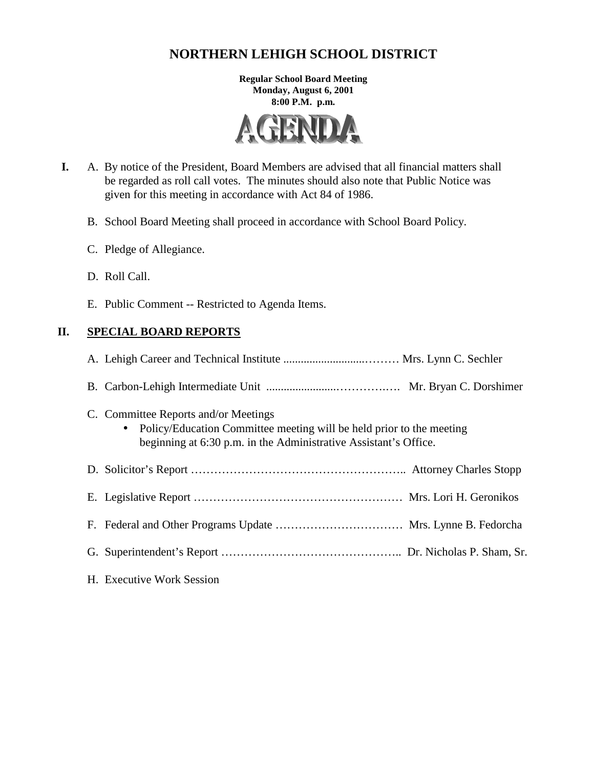# **NORTHERN LEHIGH SCHOOL DISTRICT**

**Regular School Board Meeting Monday, August 6, 2001 8:00 P.M. p.m.** 



- **I.** A. By notice of the President, Board Members are advised that all financial matters shall be regarded as roll call votes. The minutes should also note that Public Notice was given for this meeting in accordance with Act 84 of 1986.
	- B. School Board Meeting shall proceed in accordance with School Board Policy.
	- C. Pledge of Allegiance.
	- D. Roll Call.
	- E. Public Comment -- Restricted to Agenda Items.

## **II. SPECIAL BOARD REPORTS**

| C. Committee Reports and/or Meetings<br>• Policy/Education Committee meeting will be held prior to the meeting<br>beginning at 6:30 p.m. in the Administrative Assistant's Office. |
|------------------------------------------------------------------------------------------------------------------------------------------------------------------------------------|
|                                                                                                                                                                                    |
|                                                                                                                                                                                    |
|                                                                                                                                                                                    |
|                                                                                                                                                                                    |
| H. Executive Work Session                                                                                                                                                          |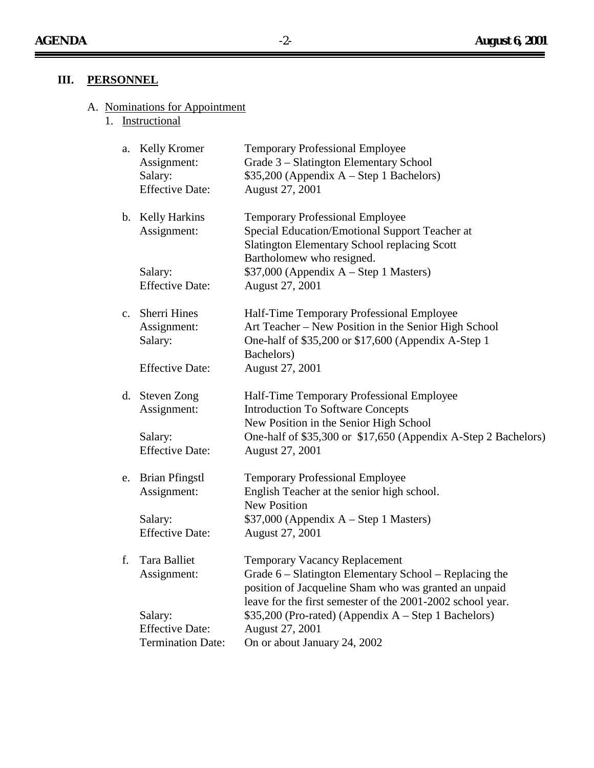$\equiv$ 

 $\equiv$ 

# **III. PERSONNEL**

#### A. Nominations for Appointment

1. Instructional

| a. | Kelly Kromer<br>Assignment:<br>Salary:<br><b>Effective Date:</b> | <b>Temporary Professional Employee</b><br>Grade 3 - Slatington Elementary School<br>$$35,200$ (Appendix A – Step 1 Bachelors)<br>August 27, 2001                                                                      |
|----|------------------------------------------------------------------|-----------------------------------------------------------------------------------------------------------------------------------------------------------------------------------------------------------------------|
|    | b. Kelly Harkins<br>Assignment:                                  | <b>Temporary Professional Employee</b><br>Special Education/Emotional Support Teacher at<br><b>Slatington Elementary School replacing Scott</b><br>Bartholomew who resigned.                                          |
|    | Salary:<br><b>Effective Date:</b>                                | $$37,000$ (Appendix A – Step 1 Masters)<br>August 27, 2001                                                                                                                                                            |
|    | c. Sherri Hines<br>Assignment:<br>Salary:                        | Half-Time Temporary Professional Employee<br>Art Teacher – New Position in the Senior High School<br>One-half of \$35,200 or \$17,600 (Appendix A-Step 1<br>Bachelors)                                                |
|    | <b>Effective Date:</b>                                           | August 27, 2001                                                                                                                                                                                                       |
|    | d. Steven Zong<br>Assignment:                                    | Half-Time Temporary Professional Employee<br><b>Introduction To Software Concepts</b><br>New Position in the Senior High School                                                                                       |
|    | Salary:<br><b>Effective Date:</b>                                | One-half of \$35,300 or \$17,650 (Appendix A-Step 2 Bachelors)<br>August 27, 2001                                                                                                                                     |
|    | e. Brian Pfingstl<br>Assignment:                                 | <b>Temporary Professional Employee</b><br>English Teacher at the senior high school.<br><b>New Position</b>                                                                                                           |
|    | Salary:<br><b>Effective Date:</b>                                | $$37,000$ (Appendix A – Step 1 Masters)<br>August 27, 2001                                                                                                                                                            |
| f. | Tara Balliet<br>Assignment:                                      | <b>Temporary Vacancy Replacement</b><br>Grade 6 – Slatington Elementary School – Replacing the<br>position of Jacqueline Sham who was granted an unpaid<br>leave for the first semester of the 2001-2002 school year. |
|    | Salary:<br><b>Effective Date:</b>                                | \$35,200 (Pro-rated) (Appendix A - Step 1 Bachelors)<br>August 27, 2001                                                                                                                                               |
|    | <b>Termination Date:</b>                                         | On or about January 24, 2002                                                                                                                                                                                          |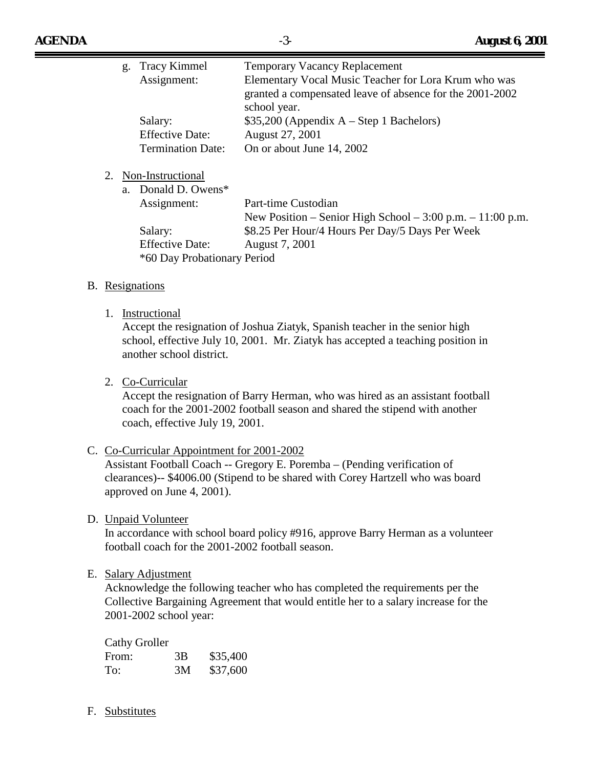|  | g. Tracy Kimmel             | <b>Temporary Vacancy Replacement</b>                           |  |
|--|-----------------------------|----------------------------------------------------------------|--|
|  | Assignment:                 | Elementary Vocal Music Teacher for Lora Krum who was           |  |
|  |                             | granted a compensated leave of absence for the 2001-2002       |  |
|  |                             | school year.                                                   |  |
|  | Salary:                     | $$35,200$ (Appendix A – Step 1 Bachelors)                      |  |
|  | <b>Effective Date:</b>      | August 27, 2001                                                |  |
|  | <b>Termination Date:</b>    | On or about June 14, 2002                                      |  |
|  |                             |                                                                |  |
|  | 2. Non-Instructional        |                                                                |  |
|  | a. Donald D. Owens*         |                                                                |  |
|  | Assignment:                 | Part-time Custodian                                            |  |
|  |                             | New Position – Senior High School – $3:00$ p.m. – $11:00$ p.m. |  |
|  | Salary:                     | \$8.25 Per Hour/4 Hours Per Day/5 Days Per Week                |  |
|  | <b>Effective Date:</b>      | August 7, 2001                                                 |  |
|  | *60 Day Probationary Period |                                                                |  |

#### B. Resignations

1. Instructional

Accept the resignation of Joshua Ziatyk, Spanish teacher in the senior high school, effective July 10, 2001. Mr. Ziatyk has accepted a teaching position in another school district.

2. Co-Curricular

Accept the resignation of Barry Herman, who was hired as an assistant football coach for the 2001-2002 football season and shared the stipend with another coach, effective July 19, 2001.

C. Co-Curricular Appointment for 2001-2002

Assistant Football Coach -- Gregory E. Poremba – (Pending verification of clearances)-- \$4006.00 (Stipend to be shared with Corey Hartzell who was board approved on June 4, 2001).

D. Unpaid Volunteer

In accordance with school board policy #916, approve Barry Herman as a volunteer football coach for the 2001-2002 football season.

E. Salary Adjustment

Acknowledge the following teacher who has completed the requirements per the Collective Bargaining Agreement that would entitle her to a salary increase for the 2001-2002 school year:

| <b>Cathy Groller</b> |    |          |
|----------------------|----|----------|
| From:                | 3B | \$35,400 |
| To:                  | 3M | \$37,600 |

F. Substitutes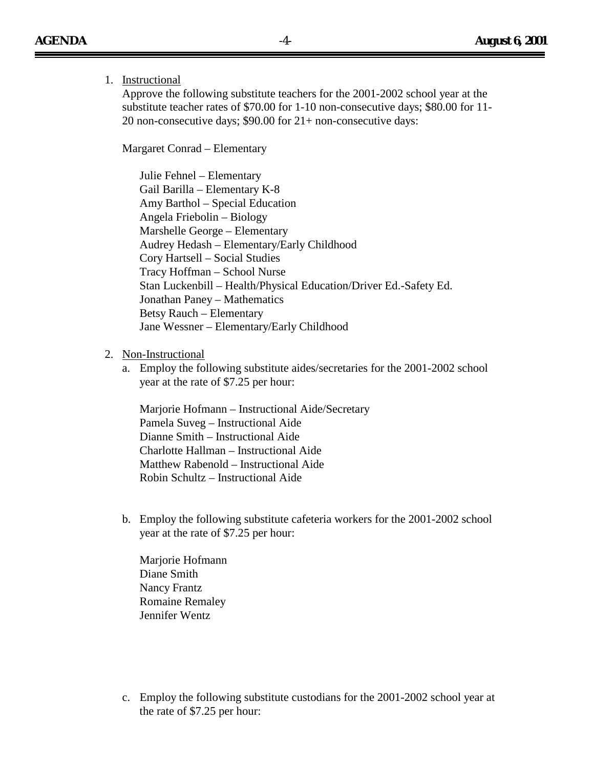## 1. Instructional

Approve the following substitute teachers for the 2001-2002 school year at the substitute teacher rates of \$70.00 for 1-10 non-consecutive days; \$80.00 for 11- 20 non-consecutive days; \$90.00 for 21+ non-consecutive days:

Margaret Conrad – Elementary

Julie Fehnel – Elementary Gail Barilla – Elementary K-8 Amy Barthol – Special Education Angela Friebolin – Biology Marshelle George – Elementary Audrey Hedash – Elementary/Early Childhood Cory Hartsell – Social Studies Tracy Hoffman – School Nurse Stan Luckenbill – Health/Physical Education/Driver Ed.-Safety Ed. Jonathan Paney – Mathematics Betsy Rauch – Elementary Jane Wessner – Elementary/Early Childhood

#### 2. Non-Instructional

a. Employ the following substitute aides/secretaries for the 2001-2002 school year at the rate of \$7.25 per hour:

Marjorie Hofmann – Instructional Aide/Secretary Pamela Suveg – Instructional Aide Dianne Smith – Instructional Aide Charlotte Hallman – Instructional Aide Matthew Rabenold – Instructional Aide Robin Schultz – Instructional Aide

b. Employ the following substitute cafeteria workers for the 2001-2002 school year at the rate of \$7.25 per hour:

Marjorie Hofmann Diane Smith Nancy Frantz Romaine Remaley Jennifer Wentz

c. Employ the following substitute custodians for the 2001-2002 school year at the rate of \$7.25 per hour: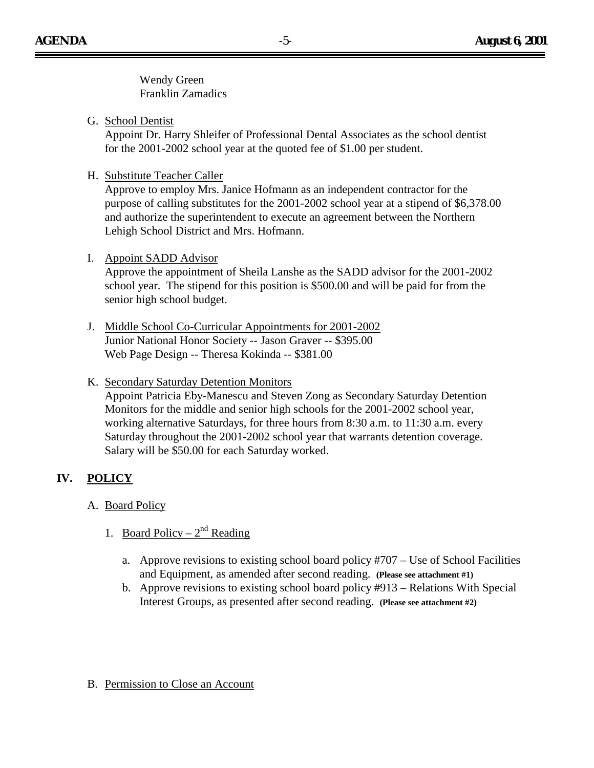Wendy Green Franklin Zamadics

G. School Dentist

Appoint Dr. Harry Shleifer of Professional Dental Associates as the school dentist for the 2001-2002 school year at the quoted fee of \$1.00 per student.

H. Substitute Teacher Caller

Approve to employ Mrs. Janice Hofmann as an independent contractor for the purpose of calling substitutes for the 2001-2002 school year at a stipend of \$6,378.00 and authorize the superintendent to execute an agreement between the Northern Lehigh School District and Mrs. Hofmann.

## I. Appoint SADD Advisor

Approve the appointment of Sheila Lanshe as the SADD advisor for the 2001-2002 school year. The stipend for this position is \$500.00 and will be paid for from the senior high school budget.

J. Middle School Co-Curricular Appointments for 2001-2002 Junior National Honor Society -- Jason Graver -- \$395.00 Web Page Design -- Theresa Kokinda -- \$381.00

## K. Secondary Saturday Detention Monitors

Appoint Patricia Eby-Manescu and Steven Zong as Secondary Saturday Detention Monitors for the middle and senior high schools for the 2001-2002 school year, working alternative Saturdays, for three hours from 8:30 a.m. to 11:30 a.m. every Saturday throughout the 2001-2002 school year that warrants detention coverage. Salary will be \$50.00 for each Saturday worked.

# **IV. POLICY**

- A. Board Policy
	- 1. Board Policy  $2<sup>nd</sup>$  Reading
		- a. Approve revisions to existing school board policy #707 Use of School Facilities and Equipment, as amended after second reading. **(Please see attachment #1)**
		- b. Approve revisions to existing school board policy #913 Relations With Special Interest Groups, as presented after second reading. **(Please see attachment #2)**
- B. Permission to Close an Account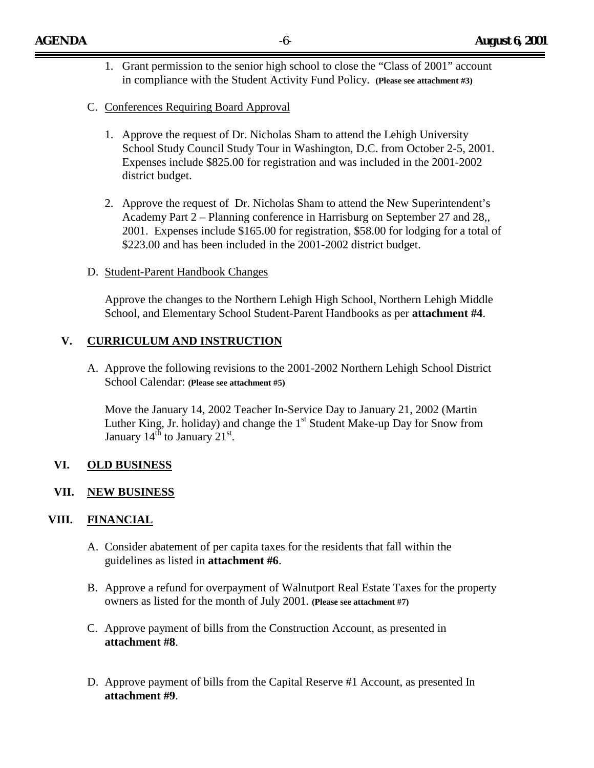- 1. Grant permission to the senior high school to close the "Class of 2001" account in compliance with the Student Activity Fund Policy. **(Please see attachment #3)**
- C. Conferences Requiring Board Approval
	- 1. Approve the request of Dr. Nicholas Sham to attend the Lehigh University School Study Council Study Tour in Washington, D.C. from October 2-5, 2001. Expenses include \$825.00 for registration and was included in the 2001-2002 district budget.
	- 2. Approve the request of Dr. Nicholas Sham to attend the New Superintendent's Academy Part 2 – Planning conference in Harrisburg on September 27 and 28,, 2001. Expenses include \$165.00 for registration, \$58.00 for lodging for a total of \$223.00 and has been included in the 2001-2002 district budget.
- D. Student-Parent Handbook Changes

Approve the changes to the Northern Lehigh High School, Northern Lehigh Middle School, and Elementary School Student-Parent Handbooks as per **attachment #4**.

### **V. CURRICULUM AND INSTRUCTION**

A. Approve the following revisions to the 2001-2002 Northern Lehigh School District School Calendar: **(Please see attachment #5)**

Move the January 14, 2002 Teacher In-Service Day to January 21, 2002 (Martin Luther King, Jr. holiday) and change the  $1<sup>st</sup>$  Student Make-up Day for Snow from January  $14^{\text{th}}$  to January  $21^{\text{st}}$ .

### **VI. OLD BUSINESS**

#### **VII. NEW BUSINESS**

### **VIII. FINANCIAL**

- A. Consider abatement of per capita taxes for the residents that fall within the guidelines as listed in **attachment #6**.
- B. Approve a refund for overpayment of Walnutport Real Estate Taxes for the property owners as listed for the month of July 2001. **(Please see attachment #7)**
- C. Approve payment of bills from the Construction Account, as presented in **attachment #8**.
- D. Approve payment of bills from the Capital Reserve #1 Account, as presented In **attachment #9**.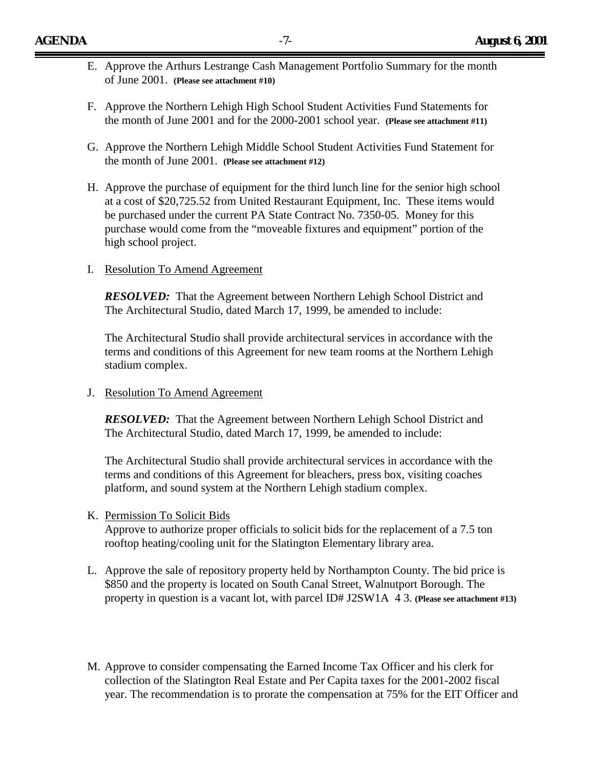- E. Approve the Arthurs Lestrange Cash Management Portfolio Summary for the month of June 2001. **(Please see attachment #10)**
- F. Approve the Northern Lehigh High School Student Activities Fund Statements for the month of June 2001 and for the 2000-2001 school year. **(Please see attachment #11)**
- G. Approve the Northern Lehigh Middle School Student Activities Fund Statement for the month of June 2001. **(Please see attachment #12)**
- H. Approve the purchase of equipment for the third lunch line for the senior high school at a cost of \$20,725.52 from United Restaurant Equipment, Inc. These items would be purchased under the current PA State Contract No. 7350-05. Money for this purchase would come from the "moveable fixtures and equipment" portion of the high school project.
- I. Resolution To Amend Agreement

*RESOLVED:* That the Agreement between Northern Lehigh School District and The Architectural Studio, dated March 17, 1999, be amended to include:

The Architectural Studio shall provide architectural services in accordance with the terms and conditions of this Agreement for new team rooms at the Northern Lehigh stadium complex.

J. Resolution To Amend Agreement

*RESOLVED*: That the Agreement between Northern Lehigh School District and The Architectural Studio, dated March 17, 1999, be amended to include:

The Architectural Studio shall provide architectural services in accordance with the terms and conditions of this Agreement for bleachers, press box, visiting coaches platform, and sound system at the Northern Lehigh stadium complex.

K. Permission To Solicit Bids

Approve to authorize proper officials to solicit bids for the replacement of a 7.5 ton rooftop heating/cooling unit for the Slatington Elementary library area.

- L. Approve the sale of repository property held by Northampton County. The bid price is \$850 and the property is located on South Canal Street, Walnutport Borough. The property in question is a vacant lot, with parcel ID# J2SW1A 4 3. **(Please see attachment #13)**
- M. Approve to consider compensating the Earned Income Tax Officer and his clerk for collection of the Slatington Real Estate and Per Capita taxes for the 2001-2002 fiscal year. The recommendation is to prorate the compensation at 75% for the EIT Officer and